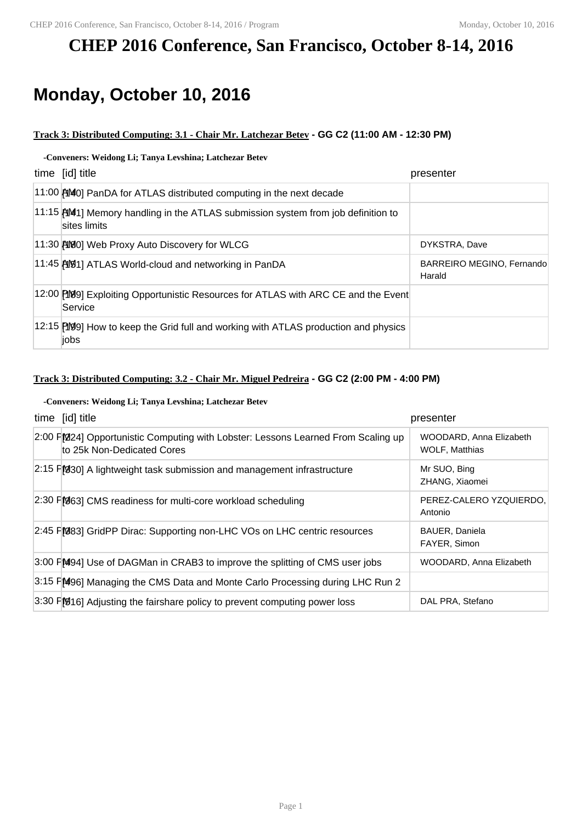# **CHEP 2016 Conference, San Francisco, October 8-14, 2016**

# **Monday, October 10, 2016**

#### **Track 3: Distributed Computing: 3.1 - Chair Mr. Latchezar Betev - GG C2 (11:00 AM - 12:30 PM)**

### **-Conveners: Weidong Li; Tanya Levshina; Latchezar Betev**

| time [id] title                                                                                                 | presenter                           |
|-----------------------------------------------------------------------------------------------------------------|-------------------------------------|
| 11:00 [140] PanDA for ATLAS distributed computing in the next decade                                            |                                     |
| $11:15$ MM <sub>1</sub> ] Memory handling in the ATLAS submission system from job definition to<br>sites limits |                                     |
| 11:30 [19] Web Proxy Auto Discovery for WLCG                                                                    | DYKSTRA, Dave                       |
| 11:45 AW1] ATLAS World-cloud and networking in PanDA                                                            | BARREIRO MEGINO, Fernando<br>Harald |
| 12:00 [199] Exploiting Opportunistic Resources for ATLAS with ARC CE and the Event<br>Service                   |                                     |
| 12:15 [199] How to keep the Grid full and working with ATLAS production and physics<br>jobs                     |                                     |

### **Track 3: Distributed Computing: 3.2 - Chair Mr. Miguel Pedreira - GG C2 (2:00 PM - 4:00 PM)**

#### **-Conveners: Weidong Li; Tanya Levshina; Latchezar Betev**

| time [id] title                                                                                                 | presenter                                        |
|-----------------------------------------------------------------------------------------------------------------|--------------------------------------------------|
| 2:00 FM224] Opportunistic Computing with Lobster: Lessons Learned From Scaling up<br>to 25k Non-Dedicated Cores | WOODARD, Anna Elizabeth<br><b>WOLF, Matthias</b> |
| $2.15$ $F[330]$ A lightweight task submission and management infrastructure                                     | Mr SUO, Bing<br>ZHANG, Xiaomei                   |
| 2:30 FM63] CMS readiness for multi-core workload scheduling                                                     | PEREZ-CALERO YZOUIERDO,<br>Antonio               |
| 2:45 F [983] GridPP Dirac: Supporting non-LHC VOs on LHC centric resources                                      | <b>BAUER, Daniela</b><br>FAYER, Simon            |
| 3:00 FM94] Use of DAGMan in CRAB3 to improve the splitting of CMS user jobs                                     | WOODARD, Anna Elizabeth                          |
| 3:15 FM496] Managing the CMS Data and Monte Carlo Processing during LHC Run 2                                   |                                                  |
| 3:30 FM16] Adjusting the fairshare policy to prevent computing power loss                                       | DAL PRA, Stefano                                 |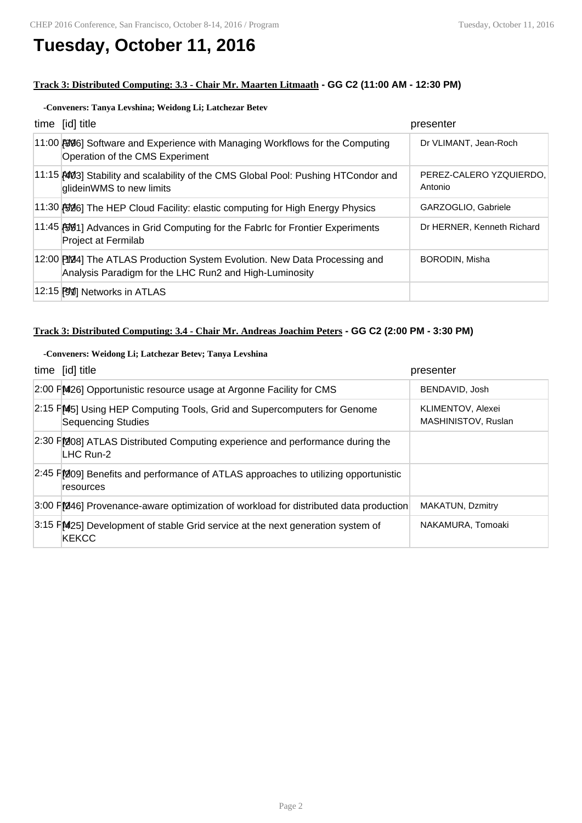# **Tuesday, October 11, 2016**

#### **Track 3: Distributed Computing: 3.3 - Chair Mr. Maarten Litmaath - GG C2 (11:00 AM - 12:30 PM)**

## **-Conveners: Tanya Levshina; Weidong Li; Latchezar Betev**

| time [id] title                                                                                                                       | presenter                          |
|---------------------------------------------------------------------------------------------------------------------------------------|------------------------------------|
| 11:00 [996] Software and Experience with Managing Workflows for the Computing<br>Operation of the CMS Experiment                      | Dr VLIMANT, Jean-Roch              |
| 11:15 AM3] Stability and scalability of the CMS Global Pool: Pushing HTCondor and<br>glideinWMS to new limits                         | PEREZ-CALERO YZOUIERDO,<br>Antonio |
| 11:30 [50] The HEP Cloud Facility: elastic computing for High Energy Physics                                                          | GARZOGLIO, Gabriele                |
| 11:45 [591] Advances in Grid Computing for the Fabric for Frontier Experiments<br>Project at Fermilab                                 | Dr HERNER, Kenneth Richard         |
| 12:00 [1044] The ATLAS Production System Evolution. New Data Processing and<br>Analysis Paradigm for the LHC Run2 and High-Luminosity | <b>BORODIN, Misha</b>              |
| 12:15 [91] Networks in ATLAS                                                                                                          |                                    |

### **Track 3: Distributed Computing: 3.4 - Chair Mr. Andreas Joachim Peters - GG C2 (2:00 PM - 3:30 PM)**

#### **-Conveners: Weidong Li; Latchezar Betev; Tanya Levshina**

| time [id] title                                                                                       | presenter                                |
|-------------------------------------------------------------------------------------------------------|------------------------------------------|
| 2:00 FM26] Opportunistic resource usage at Argonne Facility for CMS                                   | BENDAVID, Josh                           |
| 2:15 FM45] Using HEP Computing Tools, Grid and Supercomputers for Genome<br><b>Sequencing Studies</b> | KLIMENTOV, Alexei<br>MASHINISTOV, Ruslan |
| 2:30 FM08] ATLAS Distributed Computing experience and performance during the<br>LHC Run-2             |                                          |
| $2.45$ $F$ $209$ Benefits and performance of ATLAS approaches to utilizing opportunistic<br>resources |                                          |
| $3.00$ FM46] Provenance-aware optimization of workload for distributed data production                | MAKATUN, Dzmitry                         |
| 3:15 PM25] Development of stable Grid service at the next generation system of<br>KEKCC               | NAKAMURA, Tomoaki                        |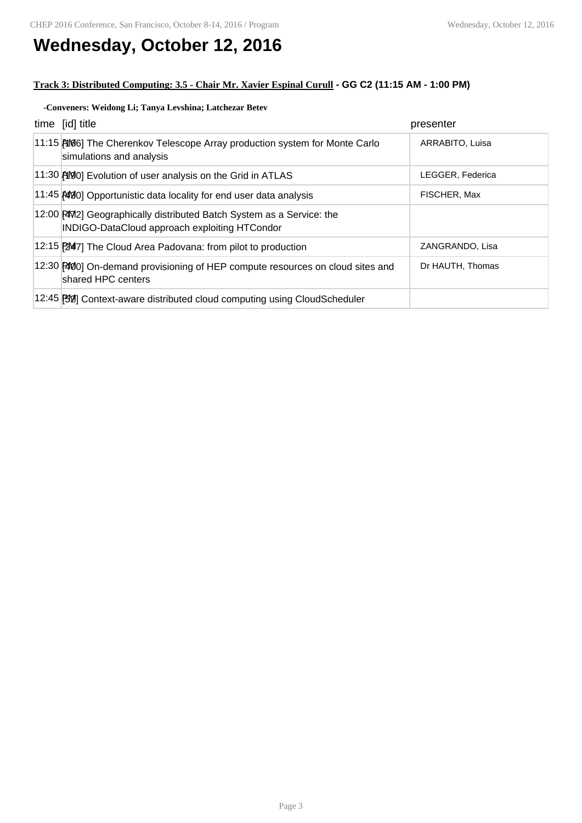# **Wednesday, October 12, 2016**

## **Track 3: Distributed Computing: 3.5 - Chair Mr. Xavier Espinal Curull - GG C2 (11:15 AM - 1:00 PM)**

#### **-Conveners: Weidong Li; Tanya Levshina; Latchezar Betev**

| time [id] title                                                                                                         | presenter        |
|-------------------------------------------------------------------------------------------------------------------------|------------------|
| 11:15 [106] The Cherenkov Telescope Array production system for Monte Carlo<br>simulations and analysis                 | ARRABITO, Luisa  |
| 11:30 [19] Evolution of user analysis on the Grid in ATLAS                                                              | LEGGER, Federica |
| 11:45 [4030] Opportunistic data locality for end user data analysis                                                     | FISCHER, Max     |
| 12:00 [2012] Geographically distributed Batch System as a Service: the<br>INDIGO-DataCloud approach exploiting HTCondor |                  |
| 12:15 [247] The Cloud Area Padovana: from pilot to production                                                           | ZANGRANDO, Lisa  |
| 12:30 PM0 On-demand provisioning of HEP compute resources on cloud sites and<br>shared HPC centers                      | Dr HAUTH, Thomas |
| 12:45 [82] Context-aware distributed cloud computing using CloudScheduler                                               |                  |